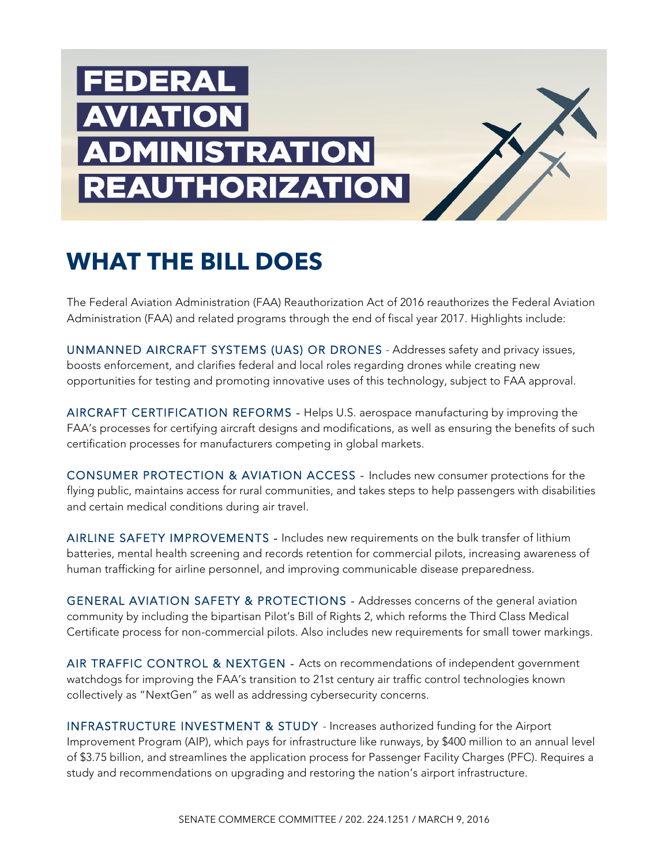

# **WHAT THE BILL DOES**

The Federal Aviation Administration (FAA) Reauthorization Act of 2016 reauthorizes the Federal Aviation Administration (FAA) and related programs through the end of fiscal year 2017. Highlights include:

UNMANNED AIRCRAFT SYSTEMS (UAS) OR DRONES - Addresses safety and privacy issues, boosts enforcement, and clarifies federal and local roles regarding drones while creating new opportunities for testing and promoting innovative uses of this technology, subject to FAA approval.

AIRCRAFT CERTIFICATION REFORMS - Helps U.S. aerospace manufacturing by improving the FAA's processes for certifying aircraft designs and modifications, as well as ensuring the benefits of such certification processes for manufacturers competing in global markets.

CONSUMER PROTECTION & AVIATION ACCESS - Includes new consumer protections for the flying public, maintains access for rural communities, and takes steps to help passengers with disabilities and certain medical conditions during air travel.

AIRLINE SAFETY IMPROVEMENTS - Includes new requirements on the bulk transfer of lithium batteries, mental health screening and records retention for commercial pilots, increasing awareness of human trafficking for airline personnel, and improving communicable disease preparedness.

GENERAL AVIATION SAFETY & PROTECTIONS - Addresses concerns of the general aviation community by including the bipartisan Pilot's Bill of Rights 2, which reforms the Third Class Medical Certificate process for non-commercial pilots. Also includes new requirements for small tower markings.

AIR TRAFFIC CONTROL & NEXTGEN - Acts on recommendations of independent government watchdogs for improving the FAA's transition to 21st century air traffic control technologies known collectively as "NextGen" as well as addressing cybersecurity concerns.

INFRASTRUCTURE INVESTMENT & STUDY - Increases authorized funding for the Airport Improvement Program (AIP), which pays for infrastructure like runways, by \$400 million to an annual level of \$3.75 billion, and streamlines the application process for Passenger Facility Charges (PFC). Requires a study and recommendations on upgrading and restoring the nation's airport infrastructure.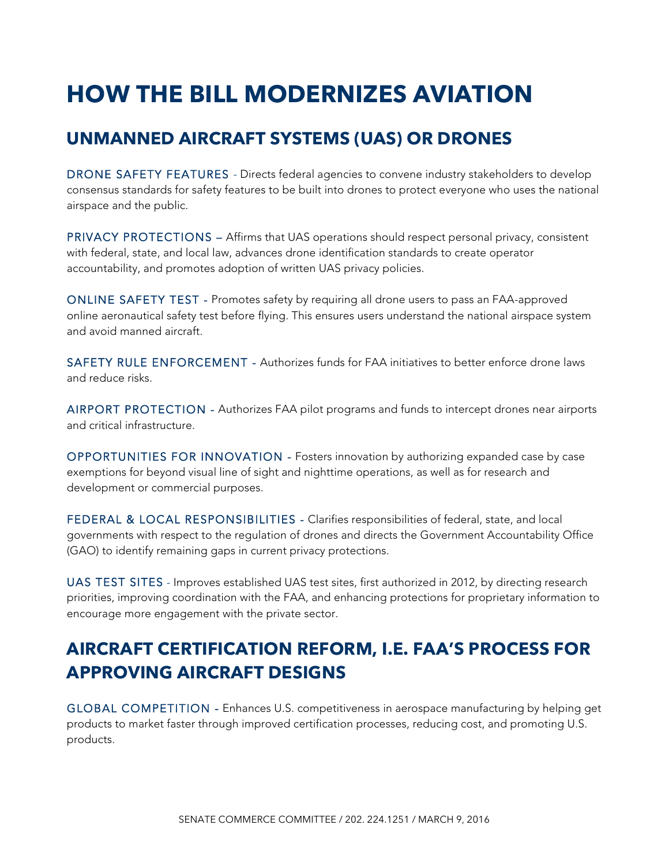# **HOW THE BILL MODERNIZES AVIATION**

## **UNMANNED AIRCRAFT SYSTEMS (UAS) OR DRONES**

DRONE SAFETY FEATURES - Directs federal agencies to convene industry stakeholders to develop consensus standards for safety features to be built into drones to protect everyone who uses the national airspace and the public.

PRIVACY PROTECTIONS – Affirms that UAS operations should respect personal privacy, consistent with federal, state, and local law, advances drone identification standards to create operator accountability, and promotes adoption of written UAS privacy policies.

ONLINE SAFETY TEST - Promotes safety by requiring all drone users to pass an FAA-approved online aeronautical safety test before flying. This ensures users understand the national airspace system and avoid manned aircraft.

SAFETY RULE ENFORCEMENT - Authorizes funds for FAA initiatives to better enforce drone laws and reduce risks.

AIRPORT PROTECTION - Authorizes FAA pilot programs and funds to intercept drones near airports and critical infrastructure.

OPPORTUNITIES FOR INNOVATION - Fosters innovation by authorizing expanded case by case exemptions for beyond visual line of sight and nighttime operations, as well as for research and development or commercial purposes.

FEDERAL & LOCAL RESPONSIBILITIES - Clarifies responsibilities of federal, state, and local governments with respect to the regulation of drones and directs the Government Accountability Office (GAO) to identify remaining gaps in current privacy protections.

UAS TEST SITES - Improves established UAS test sites, first authorized in 2012, by directing research priorities, improving coordination with the FAA, and enhancing protections for proprietary information to encourage more engagement with the private sector.

# **AIRCRAFT CERTIFICATION REFORM, I.E. FAA'S PROCESS FOR APPROVING AIRCRAFT DESIGNS**

GLOBAL COMPETITION - Enhances U.S. competitiveness in aerospace manufacturing by helping get products to market faster through improved certification processes, reducing cost, and promoting U.S. products.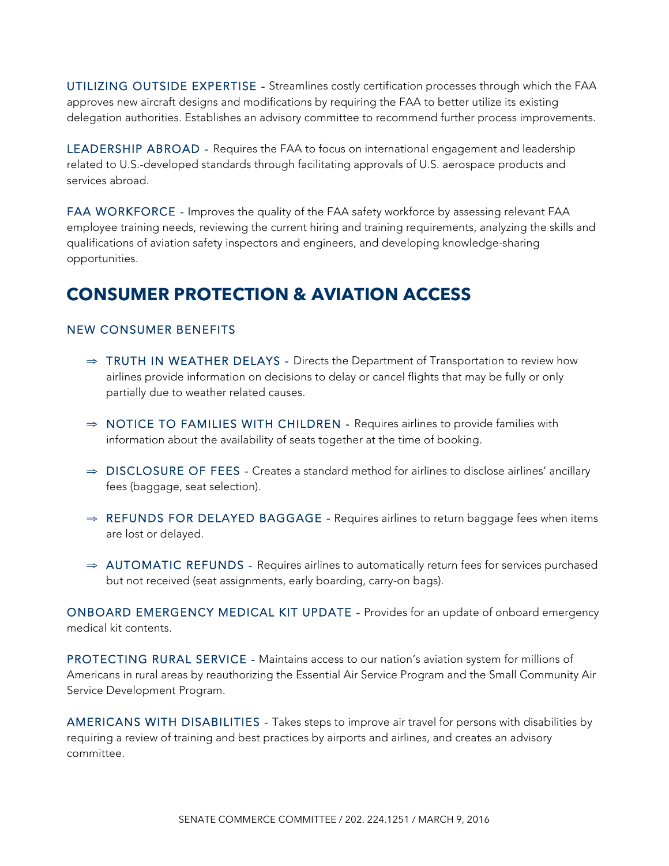UTILIZING OUTSIDE EXPERTISE - Streamlines costly certification processes through which the FAA approves new aircraft designs and modifications by requiring the FAA to better utilize its existing delegation authorities. Establishes an advisory committee to recommend further process improvements.

LEADERSHIP ABROAD - Requires the FAA to focus on international engagement and leadership related to U.S.-developed standards through facilitating approvals of U.S. aerospace products and services abroad.

FAA WORKFORCE - Improves the quality of the FAA safety workforce by assessing relevant FAA employee training needs, reviewing the current hiring and training requirements, analyzing the skills and qualifications of aviation safety inspectors and engineers, and developing knowledge-sharing opportunities.

## **CONSUMER PROTECTION & AVIATION ACCESS**

#### NEW CONSUMER BENEFITS

- ⇒ TRUTH IN WEATHER DELAYS Directs the Department of Transportation to review how airlines provide information on decisions to delay or cancel flights that may be fully or only partially due to weather related causes.
- ⇒ NOTICE TO FAMILIES WITH CHILDREN Requires airlines to provide families with information about the availability of seats together at the time of booking.
- ⇒ DISCLOSURE OF FEES Creates a standard method for airlines to disclose airlines' ancillary fees (baggage, seat selection).
- ⇒ REFUNDS FOR DELAYED BAGGAGE Requires airlines to return baggage fees when items are lost or delayed.
- ⇒ AUTOMATIC REFUNDS Requires airlines to automatically return fees for services purchased but not received (seat assignments, early boarding, carry-on bags).

ONBOARD EMERGENCY MEDICAL KIT UPDATE - Provides for an update of onboard emergency medical kit contents.

PROTECTING RURAL SERVICE - Maintains access to our nation's aviation system for millions of Americans in rural areas by reauthorizing the Essential Air Service Program and the Small Community Air Service Development Program.

AMERICANS WITH DISABILITIES - Takes steps to improve air travel for persons with disabilities by requiring a review of training and best practices by airports and airlines, and creates an advisory committee.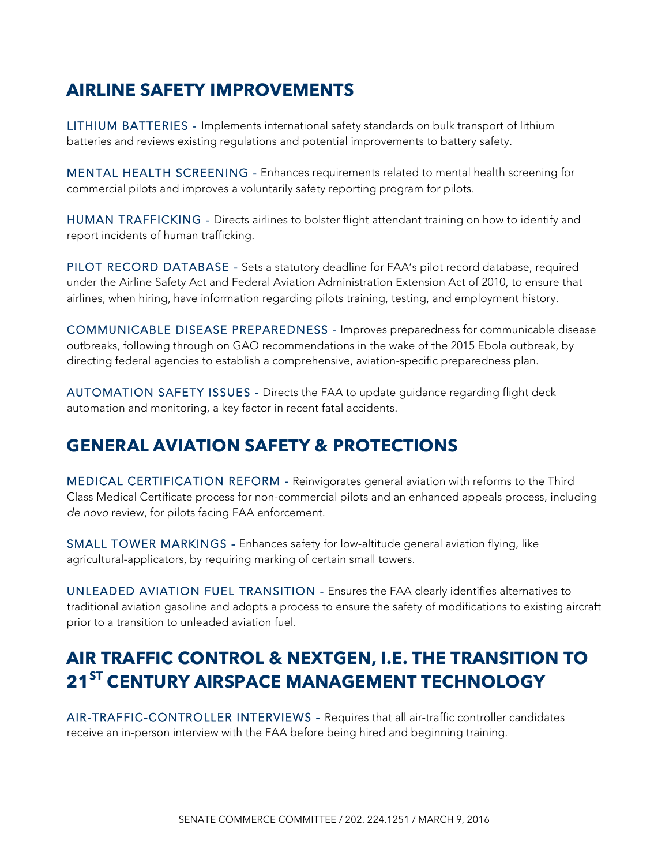### **AIRLINE SAFETY IMPROVEMENTS**

LITHIUM BATTERIES - Implements international safety standards on bulk transport of lithium batteries and reviews existing regulations and potential improvements to battery safety.

MENTAL HEALTH SCREENING - Enhances requirements related to mental health screening for commercial pilots and improves a voluntarily safety reporting program for pilots.

HUMAN TRAFFICKING - Directs airlines to bolster flight attendant training on how to identify and report incidents of human trafficking.

PILOT RECORD DATABASE - Sets a statutory deadline for FAA's pilot record database, required under the Airline Safety Act and Federal Aviation Administration Extension Act of 2010, to ensure that airlines, when hiring, have information regarding pilots training, testing, and employment history.

COMMUNICABLE DISEASE PREPAREDNESS - Improves preparedness for communicable disease outbreaks, following through on GAO recommendations in the wake of the 2015 Ebola outbreak, by directing federal agencies to establish a comprehensive, aviation-specific preparedness plan.

AUTOMATION SAFETY ISSUES - Directs the FAA to update guidance regarding flight deck automation and monitoring, a key factor in recent fatal accidents.

### **GENERAL AVIATION SAFETY & PROTECTIONS**

MEDICAL CERTIFICATION REFORM - Reinvigorates general aviation with reforms to the Third Class Medical Certificate process for non-commercial pilots and an enhanced appeals process, including *de novo* review, for pilots facing FAA enforcement.

SMALL TOWER MARKINGS - Enhances safety for low-altitude general aviation flying, like agricultural-applicators, by requiring marking of certain small towers.

UNLEADED AVIATION FUEL TRANSITION - Ensures the FAA clearly identifies alternatives to traditional aviation gasoline and adopts a process to ensure the safety of modifications to existing aircraft prior to a transition to unleaded aviation fuel.

# **AIR TRAFFIC CONTROL & NEXTGEN, I.E. THE TRANSITION TO 21ST CENTURY AIRSPACE MANAGEMENT TECHNOLOGY**

AIR-TRAFFIC-CONTROLLER INTERVIEWS - Requires that all air-traffic controller candidates receive an in-person interview with the FAA before being hired and beginning training.